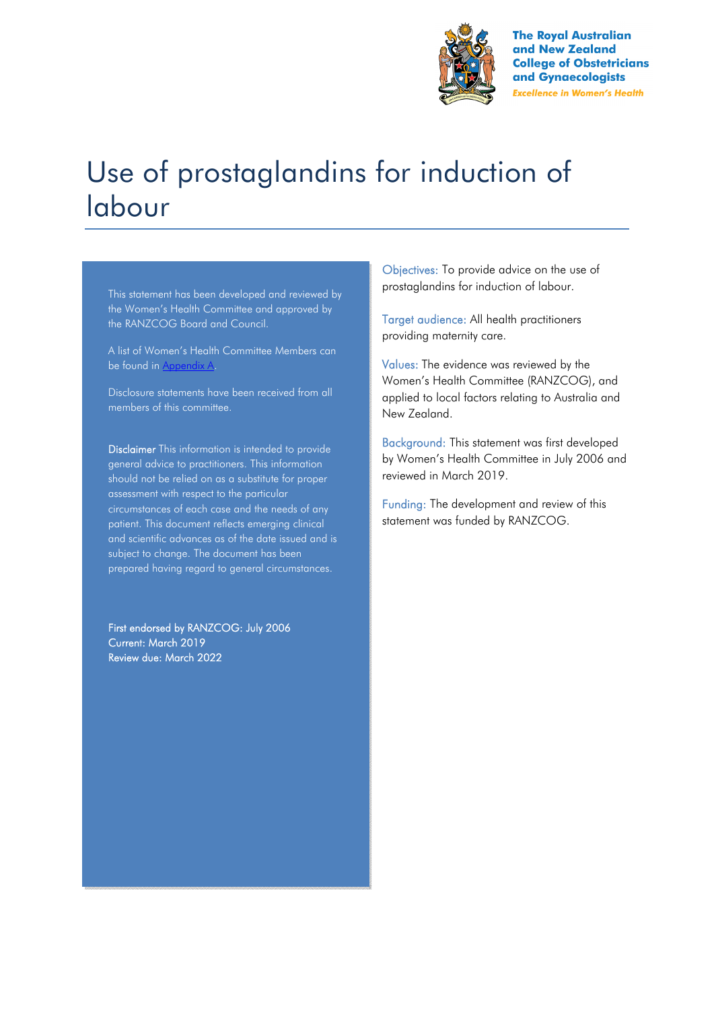

**The Royal Australian** and New Zealand **College of Obstetricians** and Gynaecologists **Excellence in Women's Health** 

# Use of prostaglandins for induction of labour

This statement has been developed and reviewed by the Women's Health Committee and approved by the RANZCOG Board and Council.

A list of Women's Health Committee Members can be found in Appendix A.

Disclosure statements have been received from all members of this committee.

Disclaimer This information is intended to provide general advice to practitioners. This information should not be relied on as a substitute for proper assessment with respect to the particular circumstances of each case and the needs of any patient. This document reflects emerging clinical and scientific advances as of the date issued and is subject to change. The document has been prepared having regard to general circumstances.

First endorsed by RANZCOG: July 2006 Current: March 2019 Review due: March 2022

Objectives: To provide advice on the use of prostaglandins for induction of labour.

Target audience: All health practitioners providing maternity care.

Values: The evidence was reviewed by the Women's Health Committee (RANZCOG), and applied to local factors relating to Australia and New Zealand.

Background: This statement was first developed by Women's Health Committee in July 2006 and reviewed in March 2019.

Funding: The development and review of this statement was funded by RANZCOG.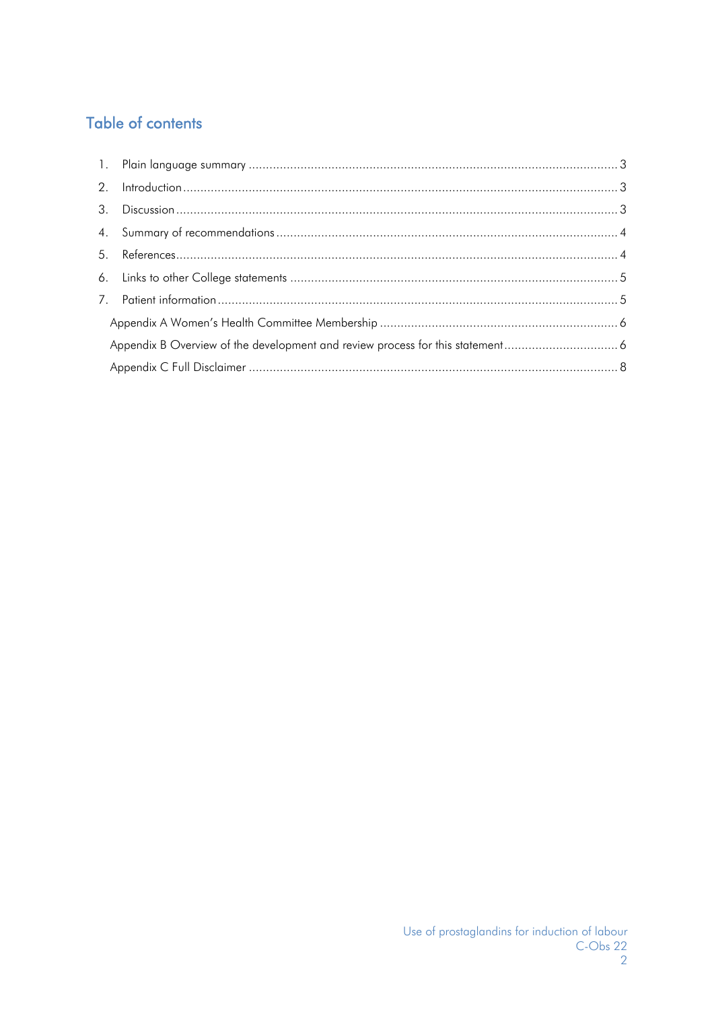## **Table of contents**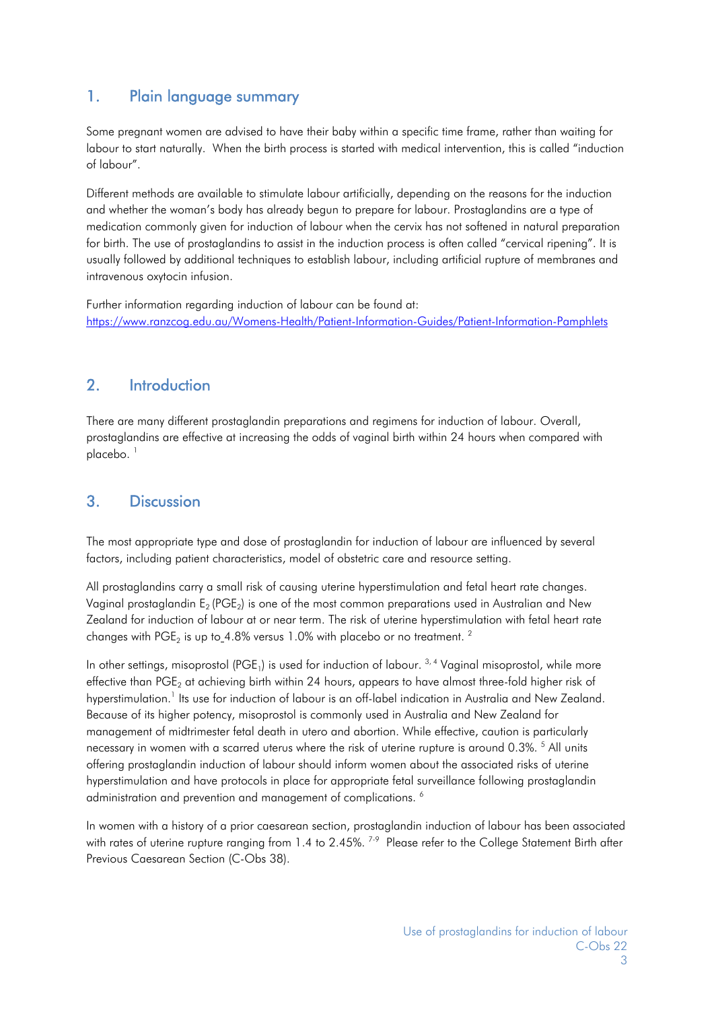## 1. Plain language summary

Some pregnant women are advised to have their baby within a specific time frame, rather than waiting for labour to start naturally. When the birth process is started with medical intervention, this is called "induction of labour".

Different methods are available to stimulate labour artificially, depending on the reasons for the induction and whether the woman's body has already begun to prepare for labour. Prostaglandins are a type of medication commonly given for induction of labour when the cervix has not softened in natural preparation for birth. The use of prostaglandins to assist in the induction process is often called "cervical ripening". It is usually followed by additional techniques to establish labour, including artificial rupture of membranes and intravenous oxytocin infusion.

Further information regarding induction of labour can be found at: https://www.ranzcog.edu.au/Womens-Health/Patient-Information-Guides/Patient-Information-Pamphlets

#### 2. Introduction

There are many different prostaglandin preparations and regimens for induction of labour. Overall, prostaglandins are effective at increasing the odds of vaginal birth within 24 hours when compared with placebo.<sup>1</sup>

## 3. Discussion

The most appropriate type and dose of prostaglandin for induction of labour are influenced by several factors, including patient characteristics, model of obstetric care and resource setting.

All prostaglandins carry a small risk of causing uterine hyperstimulation and fetal heart rate changes. Vaginal prostaglandin E<sub>2</sub> (PGE<sub>2</sub>) is one of the most common preparations used in Australian and New Zealand for induction of labour at or near term. The risk of uterine hyperstimulation with fetal heart rate changes with PGE<sub>2</sub> is up to 4.8% versus 1.0% with placebo or no treatment. <sup>2</sup>

In other settings, misoprostol (PGE<sub>1</sub>) is used for induction of labour.  $3,4$  Vaginal misoprostol, while more effective than PGE<sub>2</sub> at achieving birth within 24 hours, appears to have almost three-fold higher risk of hyperstimulation.<sup>1</sup> Its use for induction of labour is an off-label indication in Australia and New Zealand. Because of its higher potency, misoprostol is commonly used in Australia and New Zealand for management of midtrimester fetal death in utero and abortion. While effective, caution is particularly necessary in women with a scarred uterus where the risk of uterine rupture is around 0.3%. <sup>5</sup> All units offering prostaglandin induction of labour should inform women about the associated risks of uterine hyperstimulation and have protocols in place for appropriate fetal surveillance following prostaglandin administration and prevention and management of complications. 6

In women with a history of a prior caesarean section, prostaglandin induction of labour has been associated with rates of uterine rupture ranging from 1.4 to 2.45%. <sup>7-9</sup> Please refer to the College Statement Birth after Previous Caesarean Section (C-Obs 38).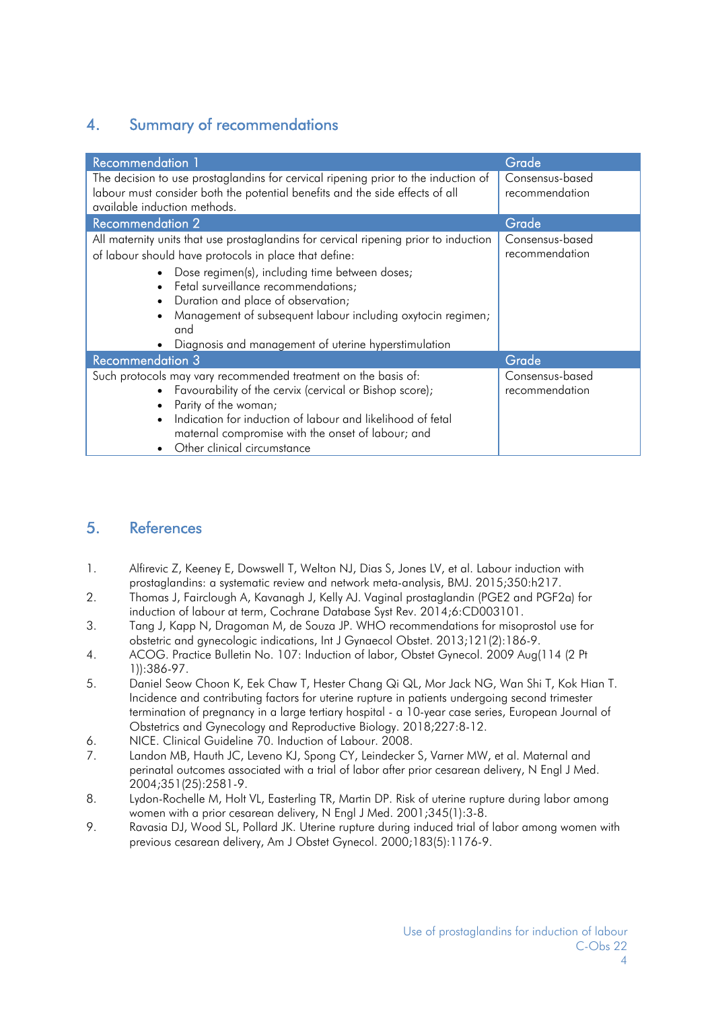## 4. Summary of recommendations

| <b>Recommendation 1</b>                                                                                                                                                                                                                                                                                                                                                                                    | Grade                             |
|------------------------------------------------------------------------------------------------------------------------------------------------------------------------------------------------------------------------------------------------------------------------------------------------------------------------------------------------------------------------------------------------------------|-----------------------------------|
| The decision to use prostaglandins for cervical ripening prior to the induction of<br>labour must consider both the potential benefits and the side effects of all<br>available induction methods.                                                                                                                                                                                                         | Consensus-based<br>recommendation |
| <b>Recommendation 2</b>                                                                                                                                                                                                                                                                                                                                                                                    | Grade                             |
| All maternity units that use prostaglandins for cervical ripening prior to induction<br>of labour should have protocols in place that define:<br>Dose regimen(s), including time between doses;<br>Fetal surveillance recommendations;<br>Duration and place of observation;<br>Management of subsequent labour including oxytocin regimen;<br>and<br>Diagnosis and management of uterine hyperstimulation | Consensus-based<br>recommendation |
| <b>Recommendation 3</b>                                                                                                                                                                                                                                                                                                                                                                                    | Grade                             |
| Such protocols may vary recommended treatment on the basis of:<br>• Favourability of the cervix (cervical or Bishop score);<br>Parity of the woman;<br>Indication for induction of labour and likelihood of fetal<br>maternal compromise with the onset of labour; and<br>Other clinical circumstance                                                                                                      | Consensus-based<br>recommendation |

#### 5. References

- 1. Alfirevic Z, Keeney E, Dowswell T, Welton NJ, Dias S, Jones LV, et al. Labour induction with prostaglandins: a systematic review and network meta-analysis, BMJ. 2015;350:h217.
- 2. Thomas J, Fairclough A, Kavanagh J, Kelly AJ. Vaginal prostaglandin (PGE2 and PGF2a) for induction of labour at term, Cochrane Database Syst Rev. 2014;6:CD003101.
- 3. Tang J, Kapp N, Dragoman M, de Souza JP. WHO recommendations for misoprostol use for obstetric and gynecologic indications, Int J Gynaecol Obstet. 2013;121(2):186-9.
- 4. ACOG. Practice Bulletin No. 107: Induction of labor, Obstet Gynecol. 2009 Aug(114 (2 Pt 1)):386-97.
- 5. Daniel Seow Choon K, Eek Chaw T, Hester Chang Qi QL, Mor Jack NG, Wan Shi T, Kok Hian T. Incidence and contributing factors for uterine rupture in patients undergoing second trimester termination of pregnancy in a large tertiary hospital - a 10-year case series, European Journal of Obstetrics and Gynecology and Reproductive Biology. 2018;227:8-12.
- 6. NICE. Clinical Guideline 70. Induction of Labour. 2008.
- 7. Landon MB, Hauth JC, Leveno KJ, Spong CY, Leindecker S, Varner MW, et al. Maternal and perinatal outcomes associated with a trial of labor after prior cesarean delivery, N Engl J Med. 2004;351(25):2581-9.
- 8. Lydon-Rochelle M, Holt VL, Easterling TR, Martin DP. Risk of uterine rupture during labor among women with a prior cesarean delivery, N Engl J Med. 2001;345(1):3-8.
- 9. Ravasia DJ, Wood SL, Pollard JK. Uterine rupture during induced trial of labor among women with previous cesarean delivery, Am J Obstet Gynecol. 2000;183(5):1176-9.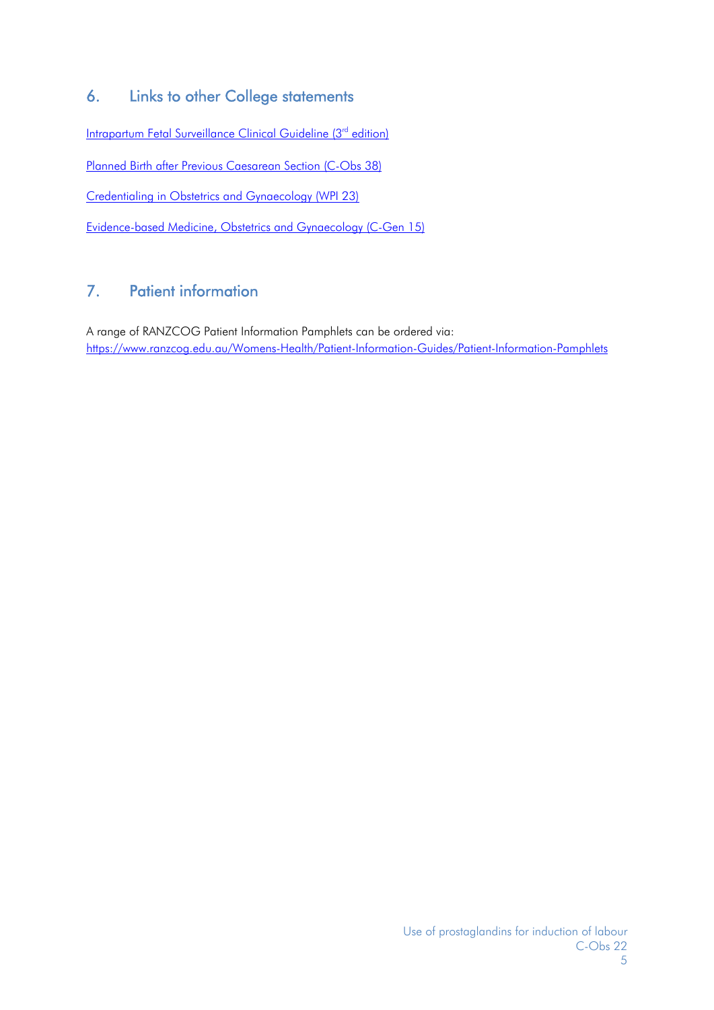## 6. Links to other College statements

Intrapartum Fetal Surveillance Clinical Guideline (3<sup>rd</sup> edition)

Planned Birth after Previous Caesarean Section (C-Obs 38)

Credentialing in Obstetrics and Gynaecology (WPI 23)

Evidence-based Medicine, Obstetrics and Gynaecology (C-Gen 15)

## 7. Patient information

A range of RANZCOG Patient Information Pamphlets can be ordered via: https://www.ranzcog.edu.au/Womens-Health/Patient-Information-Guides/Patient-Information-Pamphlets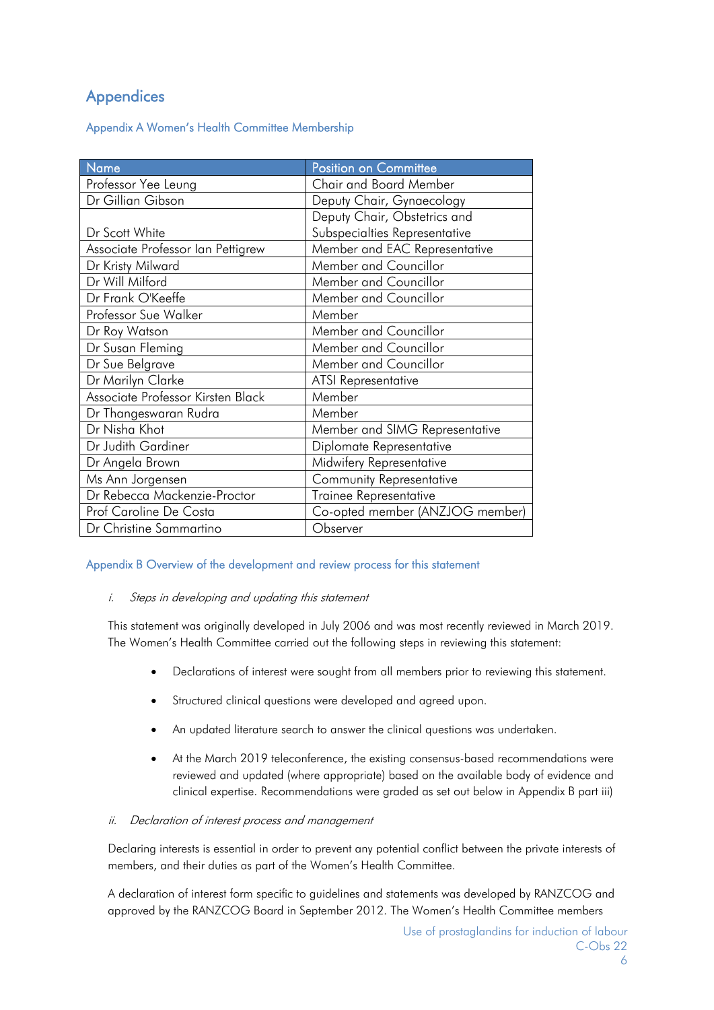## **Appendices**

#### Appendix A Women's Health Committee Membership

| Name                              | <b>Position on Committee</b>    |
|-----------------------------------|---------------------------------|
| Professor Yee Leung               | <b>Chair and Board Member</b>   |
| Dr Gillian Gibson                 | Deputy Chair, Gynaecology       |
|                                   | Deputy Chair, Obstetrics and    |
| Dr Scott White                    | Subspecialties Representative   |
| Associate Professor Ian Pettigrew | Member and EAC Representative   |
| Dr Kristy Milward                 | Member and Councillor           |
| Dr Will Milford                   | Member and Councillor           |
| Dr Frank O'Keeffe                 | Member and Councillor           |
| Professor Sue Walker              | Member                          |
| Dr Roy Watson                     | Member and Councillor           |
| Dr Susan Fleming                  | Member and Councillor           |
| Dr Sue Belgrave                   | Member and Councillor           |
| Dr Marilyn Clarke                 | <b>ATSI Representative</b>      |
| Associate Professor Kirsten Black | Member                          |
| Dr Thangeswaran Rudra             | Member                          |
| Dr Nisha Khot                     | Member and SIMG Representative  |
| Dr Judith Gardiner                | Diplomate Representative        |
| Dr Angela Brown                   | Midwifery Representative        |
| Ms Ann Jorgensen                  | <b>Community Representative</b> |
| Dr Rebecca Mackenzie-Proctor      | Trainee Representative          |
| Prof Caroline De Costa            | Co-opted member (ANZJOG member) |
| Dr Christine Sammartino           | Observer                        |

#### Appendix B Overview of the development and review process for this statement

#### i. Steps in developing and updating this statement

This statement was originally developed in July 2006 and was most recently reviewed in March 2019. The Women's Health Committee carried out the following steps in reviewing this statement:

- Declarations of interest were sought from all members prior to reviewing this statement.
- Structured clinical questions were developed and agreed upon.
- An updated literature search to answer the clinical questions was undertaken.
- At the March 2019 teleconference, the existing consensus-based recommendations were reviewed and updated (where appropriate) based on the available body of evidence and clinical expertise. Recommendations were graded as set out below in Appendix B part iii)

#### ii. Declaration of interest process and management

Declaring interests is essential in order to prevent any potential conflict between the private interests of members, and their duties as part of the Women's Health Committee.

A declaration of interest form specific to guidelines and statements was developed by RANZCOG and approved by the RANZCOG Board in September 2012. The Women's Health Committee members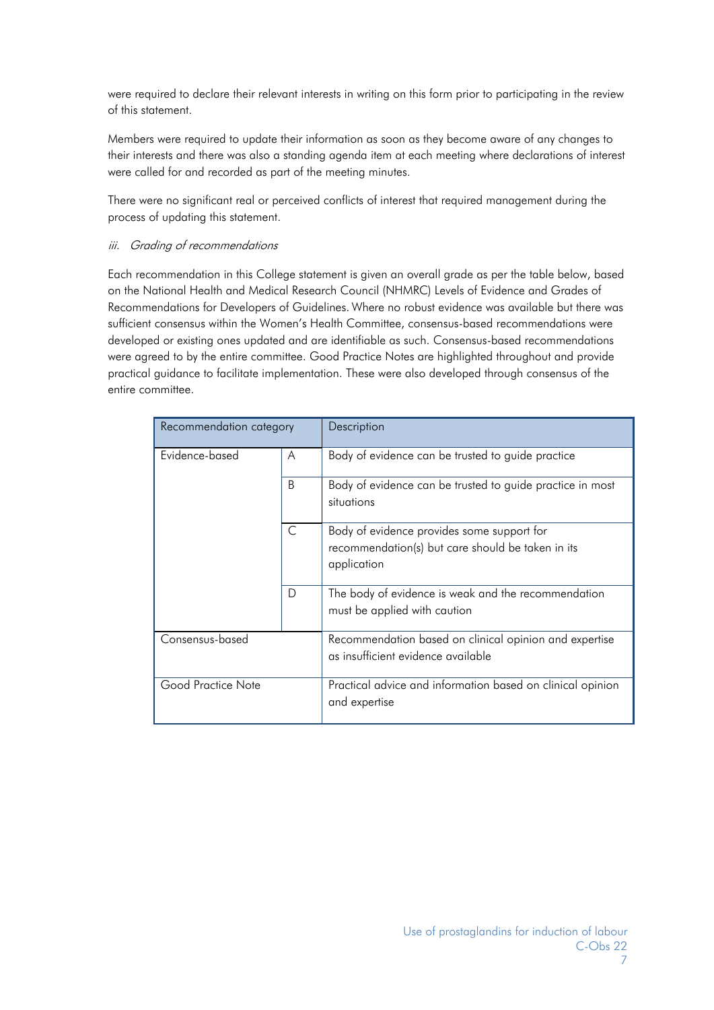were required to declare their relevant interests in writing on this form prior to participating in the review of this statement.

Members were required to update their information as soon as they become aware of any changes to their interests and there was also a standing agenda item at each meeting where declarations of interest were called for and recorded as part of the meeting minutes.

There were no significant real or perceived conflicts of interest that required management during the process of updating this statement.

#### iii. Grading of recommendations

Each recommendation in this College statement is given an overall grade as per the table below, based on the National Health and Medical Research Council (NHMRC) Levels of Evidence and Grades of Recommendations for Developers of Guidelines. Where no robust evidence was available but there was sufficient consensus within the Women's Health Committee, consensus-based recommendations were developed or existing ones updated and are identifiable as such. Consensus-based recommendations were agreed to by the entire committee. Good Practice Notes are highlighted throughout and provide practical guidance to facilitate implementation. These were also developed through consensus of the entire committee.

| Recommendation category |           | Description                                                                                                    |
|-------------------------|-----------|----------------------------------------------------------------------------------------------------------------|
| Evidence-based          | A         | Body of evidence can be trusted to guide practice                                                              |
|                         | B.        | Body of evidence can be trusted to guide practice in most<br>situations                                        |
|                         | $\subset$ | Body of evidence provides some support for<br>recommendation(s) but care should be taken in its<br>application |
|                         | D         | The body of evidence is weak and the recommendation<br>must be applied with caution                            |
| Consensus-based         |           | Recommendation based on clinical opinion and expertise<br>as insufficient evidence available                   |
| Good Practice Note      |           | Practical advice and information based on clinical opinion<br>and expertise                                    |